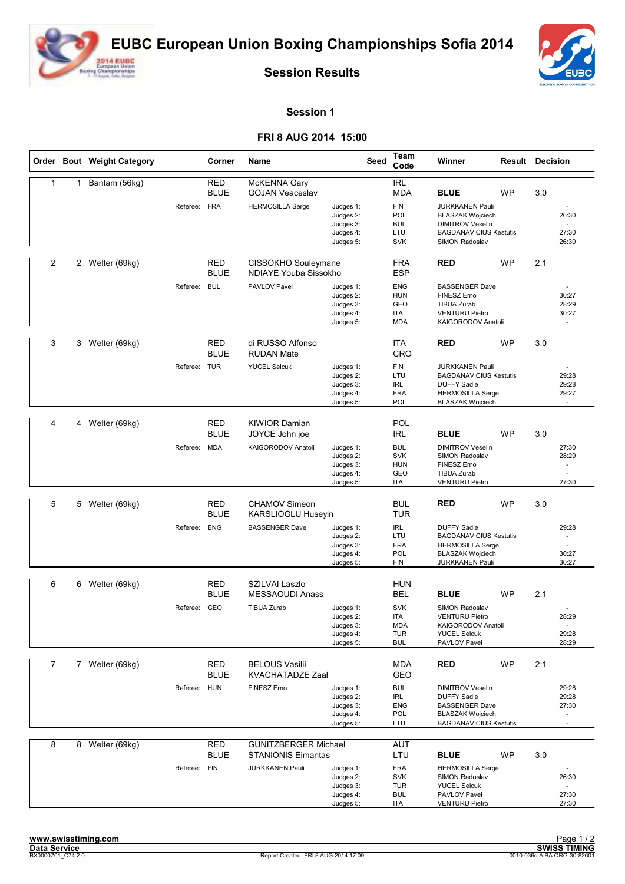



**Session Results**

## **Session 1**

## **FRI 8 AUG 2014 15:00**

|                |                | Order Bout Weight Category |              | Corner                    | Name                                                     |                                                               | <b>Seed</b> | Team<br>Code                                                | Winner                                                                                                                              |           | <b>Result Decision</b>                                        |  |
|----------------|----------------|----------------------------|--------------|---------------------------|----------------------------------------------------------|---------------------------------------------------------------|-------------|-------------------------------------------------------------|-------------------------------------------------------------------------------------------------------------------------------------|-----------|---------------------------------------------------------------|--|
| 1              |                | 1 Bantam (56kg)            |              | <b>RED</b><br><b>BLUE</b> | McKENNA Gary<br><b>GOJAN Veaceslav</b>                   |                                                               |             | <b>IRL</b><br>MDA                                           | <b>BLUE</b>                                                                                                                         | <b>WP</b> | 3:0                                                           |  |
|                |                |                            | Referee:     | <b>FRA</b>                | <b>HERMOSILLA Serge</b>                                  | Judges 1:<br>Judges 2:<br>Judges 3:                           |             | <b>FIN</b><br><b>POL</b><br><b>BUL</b><br>LTU               | <b>JURKKANEN Pauli</b><br><b>BLASZAK Wojciech</b><br><b>DIMITROV Veselin</b><br><b>BAGDANAVICIUS Kestutis</b>                       |           | 26:30<br>27:30                                                |  |
|                |                |                            |              |                           |                                                          | Judges 4:<br>Judges 5:                                        |             | <b>SVK</b>                                                  | SIMON Radoslav                                                                                                                      |           | 26:30                                                         |  |
| 2              |                | 2 Welter (69kg)            |              | RED<br><b>BLUE</b>        | CISSOKHO Souleymane<br>NDIAYE Youba Sissokho             |                                                               |             | <b>FRA</b><br><b>ESP</b>                                    | <b>RED</b>                                                                                                                          | <b>WP</b> | 2:1                                                           |  |
|                |                |                            | Referee:     | <b>BUL</b>                | PAVLOV Pavel                                             | Judges 1:<br>Judges 2:<br>Judges 3:<br>Judges 4:<br>Judges 5: |             | <b>ENG</b><br><b>HUN</b><br>GEO<br><b>ITA</b><br><b>MDA</b> | <b>BASSENGER Dave</b><br>FINESZ Erno<br><b>TIBUA Zurab</b><br><b>VENTURU Pietro</b><br>KAIGORODOV Anatoli                           |           | 30:27<br>28:29<br>30:27<br>$\omega$                           |  |
| 3              | 3              | Welter (69kg)              |              | <b>RED</b><br><b>BLUE</b> | di RUSSO Alfonso<br><b>RUDAN Mate</b>                    |                                                               |             | <b>ITA</b><br>CRO                                           | <b>RED</b>                                                                                                                          | <b>WP</b> | 3:0                                                           |  |
|                |                |                            | Referee: TUR |                           | <b>YUCEL Selcuk</b>                                      | Judges 1:<br>Judges 2:<br>Judges 3:<br>Judges 4:<br>Judges 5: |             | <b>FIN</b><br>LTU<br><b>IRL</b><br><b>FRA</b><br>POL        | <b>JURKKANEN Pauli</b><br><b>BAGDANAVICIUS Kestutis</b><br><b>DUFFY Sadie</b><br><b>HERMOSILLA Serge</b><br><b>BLASZAK Wojciech</b> |           | 29:28<br>29:28<br>29:27<br>$\overline{a}$                     |  |
|                |                |                            |              |                           |                                                          |                                                               |             |                                                             |                                                                                                                                     |           |                                                               |  |
| 4              | $\overline{4}$ | Welter (69kg)              |              | <b>RED</b><br><b>BLUE</b> | <b>KIWIOR Damian</b><br>JOYCE John joe                   |                                                               |             | POL<br><b>IRL</b>                                           | <b>BLUE</b>                                                                                                                         | <b>WP</b> | 3:0                                                           |  |
|                |                |                            | Referee:     | <b>MDA</b>                | KAIGORODOV Anatoli                                       | Judges 1:<br>Judges 2:<br>Judges 3:<br>Judges 4:              |             | <b>BUL</b><br><b>SVK</b><br><b>HUN</b><br>GEO               | <b>DIMITROV Veselin</b><br>SIMON Radoslav<br>FINESZ Erno<br><b>TIBUA Zurab</b>                                                      |           | 27:30<br>28:29<br>$\sim$                                      |  |
|                |                |                            |              |                           |                                                          | Judges 5:                                                     |             | ITA                                                         | <b>VENTURU Pietro</b>                                                                                                               |           | 27:30                                                         |  |
| 5              | 5              | Welter (69kg)              |              | RED<br><b>BLUE</b>        | <b>CHAMOV Simeon</b><br>KARSLIOGLU Huseyin               |                                                               |             | <b>BUL</b><br><b>TUR</b>                                    | <b>RED</b>                                                                                                                          | <b>WP</b> | 3:0                                                           |  |
|                |                |                            | Referee:     | <b>ENG</b>                | <b>BASSENGER Dave</b>                                    | Judges 1:<br>Judges 2:<br>Judges 3:<br>Judges 4:              |             | <b>IRL</b><br>LTU<br><b>FRA</b><br>POL                      | <b>DUFFY Sadie</b><br><b>BAGDANAVICIUS Kestutis</b><br><b>HERMOSILLA Serge</b><br><b>BLASZAK Wojciech</b>                           |           | 29:28<br>30:27                                                |  |
|                |                |                            |              |                           |                                                          | Judges 5:                                                     |             | <b>FIN</b>                                                  | <b>JURKKANEN Pauli</b>                                                                                                              |           | 30:27                                                         |  |
| 6              | 6              | Welter (69kg)              |              | RED<br><b>BLUE</b>        | SZILVAI Laszlo<br><b>MESSAOUDI Anass</b>                 |                                                               |             | <b>HUN</b><br><b>BEL</b>                                    | <b>BLUE</b>                                                                                                                         | <b>WP</b> | 2:1                                                           |  |
|                |                |                            | Referee:     | GEO                       | <b>TIBUA Zurab</b>                                       | Judges 1:<br>Judges 2:<br>Judges 3:<br>Judges 4:              |             | <b>SVK</b><br>ITA<br><b>MDA</b><br><b>TUR</b>               | SIMON Radoslav<br><b>VENTURU Pietro</b><br>KAIGORODOV Anatoli<br><b>YUCEL Selcuk</b><br>PAVLOV Pavel                                |           | 28:29<br>$\sim$<br>29:28                                      |  |
|                |                |                            |              |                           |                                                          | Judges 5:                                                     |             | <b>BUL</b>                                                  |                                                                                                                                     |           | 28:29                                                         |  |
| $\overline{7}$ |                | 7 Welter (69kg)            |              | <b>RED</b><br><b>BLUE</b> | <b>BELOUS Vasilii</b><br><b>KVACHATADZE Zaal</b>         |                                                               |             | MDA<br>GEO                                                  | <b>RED</b>                                                                                                                          | <b>WP</b> | 2:1                                                           |  |
|                |                |                            | Referee: HUN |                           | FINESZ Erno                                              | Judges 1:<br>Judges 2:<br>Judges 3:<br>Judges 4:<br>Judges 5: |             | <b>BUL</b><br><b>IRL</b><br>ENG<br>POL<br>LTU               | <b>DIMITROV Veselin</b><br><b>DUFFY Sadie</b><br><b>BASSENGER Dave</b><br><b>BLASZAK Wojciech</b><br><b>BAGDANAVICIUS Kestutis</b>  |           | 29:28<br>29:28<br>27:30<br>$\overline{\phantom{a}}$<br>$\sim$ |  |
| 8              |                | 8 Welter (69kg)            |              | <b>RED</b><br><b>BLUE</b> | <b>GUNITZBERGER Michael</b><br><b>STANIONIS Eimantas</b> |                                                               |             | AUT<br>LTU                                                  | <b>BLUE</b>                                                                                                                         | <b>WP</b> | 3:0                                                           |  |
|                |                |                            | Referee: FIN |                           | JURKKANEN Pauli                                          | Judges 1:<br>Judges 2:<br>Judges 3:                           |             | <b>FRA</b><br><b>SVK</b><br><b>TUR</b>                      | <b>HERMOSILLA Serge</b><br>SIMON Radoslav<br><b>YUCEL Selcuk</b>                                                                    |           | 26:30<br>$\sim$                                               |  |
|                |                |                            |              |                           |                                                          | Judges 4:<br>Judges 5:                                        |             | <b>BUL</b><br>ITA                                           | PAVLOV Pavel<br><b>VENTURU Pietro</b>                                                                                               |           | 27:30<br>27:30                                                |  |